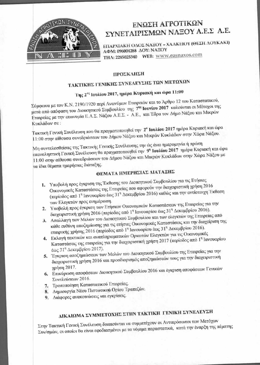

### ΕΝΩΣΗ ΑΓΡΟΤΙΚΩΝ ΣΥΝΕΤΑΙΡΙΣΜΩΝ ΝΑΞΟΥ Α.Ε.Σ Α.Ε.

ΕΠΑΡΧΙΑΚΗ ΟΔΟΣ ΝΑΞΟΥ - ΧΑΛΚΕΙΟΥ (ΘΕΣΗ ΛΟΥΚΑΚΙ) ΑΦΜ: 096004288 ΔΟΥ: ΝΑΞΟΥ THA: 2285025340 WEB: www.easnaxos.com

#### ΠΡΟΣΚΛΗΣΗ

## ΤΑΚΤΙΚΗΣ ΓΕΝΙΚΗΣ ΣΥΝΕΛΕΥΣΗΣ ΤΩΝ ΜΕΤΩΧΩΝ

## Της 2<sup>ας</sup> Ιουλίου 2017, ημέρα Κυριακή και ώρα 11:00

Σύμφωνα με τον Κ.Ν. 2190/1920 περί Ανωνύμων Εταιρειών και το Άρθρο 12 του Καταστατικού, μετά από απόφαση του Διοικητικού Συμβουλίου της 7ης Ιουνίου 2017 καλούνται οι Μέτοχοι της Εταιρείας με την επωνυμία Ε.Α.Σ. Νάξου Α.Ε.Σ. - Α.Ε., και Έδρα τον Δήμο Νάξου και Μικρών Κυκλάδων σε:

Τακτική Γενική Συνέλευση που θα πραγματοποιηθεί την 2<sup>α</sup> Ιουλίου 2017 ημέρα Κυριακή και ώρα 11:00 στην αίθουσα συνεδριάσεων του Δήμου Νάξου και Μικρών Κυκλάδων στην Χώρα Νάξου.

Μη συντελεσθείσας της Τακτικής Γενικής Συνέλευσης την ώς άνω ημερομηνία ή πρώτη επαναληπτική Γενική Συνέλευση θα πραγματοποιηθεί την 9η Ιουλίου 2017 ημέρα Κυριακή και ώρα 11:00 στην αίθουσα συνεδριάσεων του Δήμου Νάξου και Μικρών Κυκλάδων στην Χώρα Νάξου με τα ίδια θέματα ημερήσιας διάταξης.

#### ΘΕΜΑΤΑ ΗΜΕΡΗΣΙΑΣ ΔΙΑΤΑΞΗΣ

- 1. Υποβολή προς έγκριση της Έκθεσης του Διοικητικού Συμβουλίου για τις Ετήσιες Οικονομικές Καταστάσεις της Εταιρείας που αφορούν την διαχειριστική χρήση 2016 (περίοδος από 1<sup>η</sup> Ιανουαρίου έως 31<sup>η</sup> Δεκεμβρίου 2016) καθώς και την αντίστοιχη Έκθεση των Ελεγκτών προς ενημέρωση.
- 2. Υποβολή προς έγκριση των Ετήσιων Οικονομικών Καταστάσεων της Εταιρείας για την διαχειριστική χρήση 2016 (περίοδος από 1η Ιανουαρίου έως 31η Δεκεμβρίου 2016).
- 3. Απαλλαγή των Μελών του Διοικητικού Συμβουλίου και των ελεγκτών της Εταιρείας από κάθε ευθύνη αποζημίωσης για τις ετήσιες Οικονομικές Καταστάσεις και την διαχείριση της εταιρικής χρήσης 2016 (περίοδος από 1<sup>η</sup> Ιανουαρίου έως 31<sup>η</sup> Δεκεμβρίου 2016).
- 4. Εκλογή τακτικών και αναπληρωματικών Ορκωτών Ελεγκτών για τις Οικονομικές Καταστάσεις της εταιρείας για την διαχειριστική χρήση 2017 (περίοδος από 1η Ιανουαρίου έως 31" Δεκεμβρίου 2017).
- 5. Έγκριση αποζημιώσεων των Μελών του Διοικητικού Συμβουλίου της Εταιρείας για την διαχειριστική χρήση 2016 και προσδιορισμός αποζημιώσεών τους για την διαχειριστική
- 6. Επικύρωση αποφάσεων Διοικητικού Συμβουλίου 2016 και έγκριση αποφάσεων Γενικών Συνελεύσεων 2016.
- 7. Τροποποίηση Καταστατικού Εταιρείας.
- 8. Δημιουργία Νέου Πιστωτικού Ορίου Τραπεζών.
- 9. Διάφορες ανακοινώσεις και εγκρίσεις.

# ΔΙΚΑΙΩΜΑ ΣΥΜΜΕΤΟΧΗΣ ΣΤΗΝ ΤΑΚΤΙΚΗ ΓΕΝΙΚΗ ΣΥΝΕΛΕΥΣΗ

Στην Τακτική Γενική Συνέλευση δικαιούνται να συμμετέχουν οι Αντιπρόσωποι των Μετόχων Συν/σμών, οι οποίοι θα είναι εφοδιασμένοι με τα νόμιμα παραστατικά, κατά την έναρξη της πέμπτης